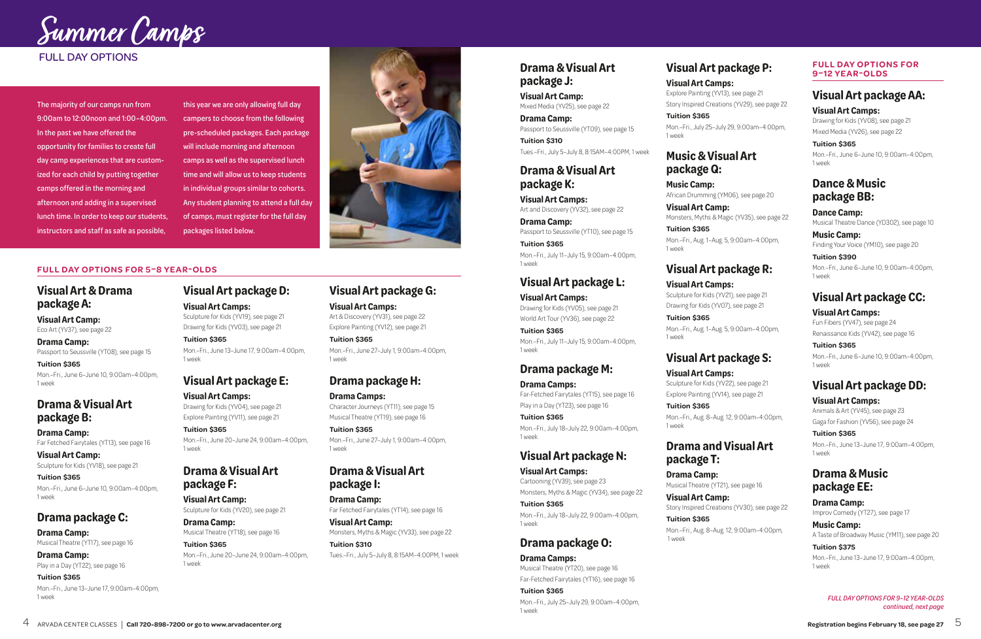*FULL DAY OPTIONS FOR 9–12 YEAR-OLDS continued, next page*

#### **FULL DAY OPTIONS FOR 5–8 YEAR-OLDS**

#### **Visual Art & Drama package A:**

**Visual Art Camp:**  Eco Art (YV37), see page 22

**Drama Camp:** Passport to Seussville (YT08), see page 15

**Tuition \$365** Mon.–Fri., June 6–June 10, 9:00am–4:00pm, 1 week

#### **Drama & Visual Art package B:**

**Drama Camp:** Far Fetched Fairytales (YT13), see page 16

**Visual Art Camp:** Sculpture for Kids (YV18), see page 21

**Tuition \$365** Mon.–Fri., June 6–June 10, 9:00am–4:00pm, 1 week

#### **Drama package C:**

**Drama Camp:**  Musical Theatre (YT17), see page 16

**Drama Camp:**  Play in a Day (YT22), see page 16

#### **Tuition \$365** Mon.–Fri., June 13–June 17, 9:00am–4:00pm, 1 week

# **Visual Art package D:**

**Visual Art Camps:** Sculpture for Kids (YV19), see page 21 Drawing for Kids (YV03), see page 21

**Tuition \$365** Mon.–Fri., June 13–June 17, 9:00am–4:00pm, 1 week

# **Visual Art package E:**

**Visual Art Camps:** Drawing for Kids (YV04), see page 21 Explore Painting (YV11), see page 21

**Tuition \$365** Mon.–Fri., June 20–June 24, 9:00am–4:00pm, 1 week

#### **Drama & Visual Art package F:**

**Visual Art Camp:** Sculpture for Kids (YV20), see page 21

**Drama Camp:** Musical Theatre (YT18), see page 16

**Tuition \$365** Mon.–Fri., June 20–June 24, 9:00am–4:00pm, 1 week

#### **Visual Art package G:**

**Visual Art Camps:** Art & Discovery (YV31), see page 22 Explore Painting (YV12), see page 21

**Tuition \$365**

Mon.–Fri., June 27–July 1, 9:00am–4:00pm, 1 week

#### **Drama package H:**

**Drama Camps:** Character Journeys (YT11), see page 15 Musical Theatre (YT19), see page 16

**Tuition \$365**

Mon.–Fri., June 27–July 1, 9:00am–4:00pm, 1 week

#### **Drama & Visual Art package I:**

**Drama Camp:** Far Fetched Fairytales (YT14), see page 16

**Visual Art Camp:** Monsters, Myths & Magic (YV33), see page 22 **Tuition \$310**

Tues.–Fri., July 5–July 8, 8:15AM–4:00PM, 1 week

#### **Drama & Visual Art package J:**

**Visual Art Camp:** Mixed Media (YV25), see page 22

**Drama Camp:** Passport to Seussville (YT09), see page 15 **Tuition \$310**

Tues.–Fri., July 5–July 8, 8:15AM–4:00PM, 1 week

#### **Drama & Visual Art package K:**

**Visual Art Camps:** Art and Discovery (YV32), see page 22

**Drama Camp:** Passport to Seussville (YT10), see page 15 **Tuition \$365**

Mon.–Fri., July 11–July 15, 9:00am–4:00pm, 1 week

#### **Visual Art package L:**

**Visual Art Camps:** Drawing for Kids (YV05), see page 21 World Art Tour (YV36), see page 22

**Tuition \$365** Mon.–Fri., July 11–July 15, 9:00am–4:00pm, 1 week

#### **Drama package M:**

**Drama Camps:** Far-Fetched Fairytales (YT15), see page 16 Play in a Day (YT23), see page 16

**Tuition \$365** Mon.–Fri., July 18–July 22, 9:00am–4:00pm, 1 week

## **Visual Art package N:**

**Visual Art Camps:** Cartooning (YV39), see page 23 Monsters, Myths & Magic (YV34), see page 22

**Tuition \$365** Mon.–Fri., July 18–July 22, 9:00am–4:00pm, 1 week

## **Drama package O:**

**Drama Camps:** Musical Theatre (YT20), see page 16 Far-Fetched Fairytales (YT16), see page 16

**Tuition \$365** Mon.–Fri., July 25–July 29, 9:00am–4:00pm, 1 week

#### **Visual Art package P:**

**Visual Art Camps:** Explore Painting (YV13), see page 21 Story Inspired Creations (YV29), see page 22

**Tuition \$365** Mon.–Fri., July 25–July 29, 9:00am–4:00pm, 1 week

#### **Music & Visual Art package Q:**

**Music Camp:** African Drumming (YM06), see page 20

**Visual Art Camp:** Monsters, Myths & Magic (YV35), see page 22

**Tuition \$365** Mon.–Fri., Aug. 1–Aug. 5, 9:00am–4:00pm, 1 week

#### **Visual Art package R:**

#### **Visual Art Camps:**

Sculpture for Kids (YV21), see page 21 Drawing for Kids (YV07), see page 21

**Tuition \$365** Mon.–Fri., Aug. 1–Aug. 5, 9:00am–4:00pm, 1 week

## **Visual Art package S:**

**Visual Art Camps:** Sculpture for Kids (YV22), see page 21 Explore Painting (YV14), see page 21

**Tuition \$365** Mon.–Fri., Aug. 8–Aug. 12, 9:00am–4:00pm, 1 week

#### **Drama and Visual Art package T:**

**Drama Camp:** Musical Theatre (YT21), see page 16

**Visual Art Camp:** Story Inspired Creations (YV30), see page 22

**Tuition \$365** Mon.–Fri., Aug. 8–Aug. 12, 9:00am–4:00pm, 1 week



#### **FULL DAY OPTIONS FOR 9–12 YEAR-OLDS**

#### **Visual Art package AA:**

**Visual Art Camps:** 

Drawing for Kids (YV08), see page 21 Mixed Media (YV26), see page 22

**Tuition \$365** Mon.–Fri., June 6–June 10, 9:00am–4:00pm, 1 week

#### **Dance & Music package BB:**

**Dance Camp:** Musical Theatre Dance (YD302), see page 10

**Music Camp:** Finding Your Voice (YM10), see page 20

**Tuition \$390** Mon.–Fri., June 6–June 10, 9:00am–4:00pm, 1 week

## **Visual Art package CC:**

**Visual Art Camps:**  Fun Fibers (YV47), see page 24 Renaissance Kids (YV42), see page 16

**Tuition \$365** Mon.–Fri., June 6–June 10, 9:00am–4:00pm, 1 week

#### **Visual Art package DD:**

**Visual Art Camps:**  Animals & Art (YV45), see page 23 Gaga for Fashion (YV56), see page 24

**Tuition \$365** Mon.–Fri., June 13–June 17, 9:00am–4:00pm, 1 week

#### **Drama & Music package EE:**

**Drama Camp:** Improv Comedy (YT27), see page 17

**Music Camp:** A Taste of Broadway Music (YM11), see page 20 **Tuition \$375**

Mon.–Fri., June 13–June 17, 9:00am–4:00pm, 1 week

#### FULL DAY OPTIONS

The majority of our camps run from 9:00am to 12:00noon and 1:00–4:00pm. In the past we have offered the opportunity for families to create full day camp experiences that are customized for each child by putting together camps offered in the morning and afternoon and adding in a supervised lunch time. In order to keep our students, instructors and staff as safe as possible,

this year we are only allowing full day campers to choose from the following pre-scheduled packages. Each package will include morning and afternoon camps as well as the supervised lunch time and will allow us to keep students in individual groups similar to cohorts. Any student planning to attend a full day of camps, must register for the full day packages listed below.